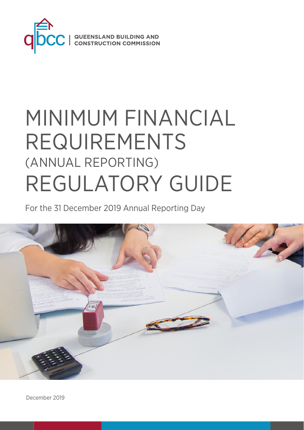

# MINIMUM FINANCIAL REQUIREMENTS (ANNUAL REPORTING) REGULATORY GUIDE

For the 31 December 2019 Annual Reporting Day

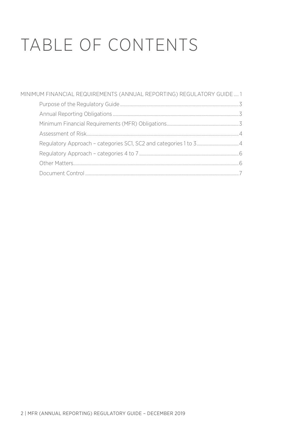# TABLE OF CONTENTS

| MINIMUM FINANCIAL REQUIREMENTS (ANNUAL REPORTING) REGULATORY GUIDE  1 |  |
|-----------------------------------------------------------------------|--|
|                                                                       |  |
|                                                                       |  |
|                                                                       |  |
|                                                                       |  |
|                                                                       |  |
|                                                                       |  |
|                                                                       |  |
|                                                                       |  |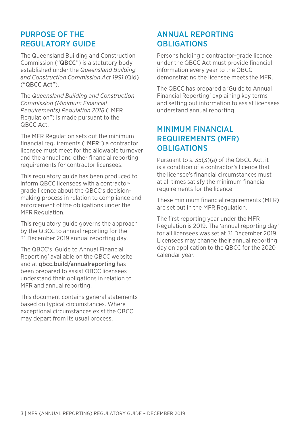## PURPOSE OF THE REGULATORY GUIDE

The Queensland Building and Construction Commission ("QBCC") is a statutory body established under the *Queensland Building and Construction Commission Act 1991* (Qld) ("QBCC Act").

The *Queensland Building and Construction Commission (Minimum Financial Requirements) Regulation 2018* ("MFR Regulation") is made pursuant to the QBCC Act.

The MFR Regulation sets out the minimum financial requirements ("MFR") a contractor licensee must meet for the allowable turnover and the annual and other financial reporting requirements for contractor licensees.

This regulatory guide has been produced to inform QBCC licensees with a contractorgrade licence about the QBCC's decisionmaking process in relation to compliance and enforcement of the obligations under the MFR Regulation.

This regulatory guide governs the approach by the QBCC to annual reporting for the 31 December 2019 annual reporting day.

The QBCC's 'Guide to Annual Financial Reporting' available on the QBCC website and at [qbcc.build/annualreporting](http://qbcc.build/annualreporting) has been prepared to assist QBCC licensees understand their obligations in relation to MFR and annual reporting.

This document contains general statements based on typical circumstances. Where exceptional circumstances exist the QBCC may depart from its usual process.

## ANNUAL REPORTING **OBLIGATIONS**

Persons holding a contractor-grade licence under the QBCC Act must provide financial information every year to the QBCC demonstrating the licensee meets the MFR.

The QBCC has prepared a 'Guide to Annual Financial Reporting' explaining key terms and setting out information to assist licensees understand annual reporting.

## MINIMUM FINANCIAL REQUIREMENTS (MFR) **OBLIGATIONS**

Pursuant to s. 35(3)(a) of the QBCC Act, it is a condition of a contractor's licence that the licensee's financial circumstances must at all times satisfy the minimum financial requirements for the licence.

These minimum financial requirements (MFR) are set out in the MFR Regulation.

The first reporting year under the MFR Regulation is 2019. The 'annual reporting day' for all licensees was set at 31 December 2019. Licensees may change their annual reporting day on application to the QBCC for the 2020 calendar year.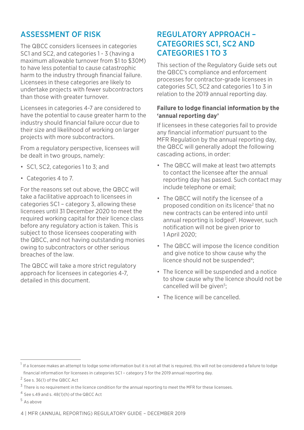## ASSESSMENT OF RISK

The QBCC considers licensees in categories SC1 and SC2, and categories 1 - 3 (having a maximum allowable turnover from \$1 to \$30M) to have less potential to cause catastrophic harm to the industry through financial failure. Licensees in these categories are likely to undertake projects with fewer subcontractors than those with greater turnover.

Licensees in categories 4-7 are considered to have the potential to cause greater harm to the industry should financial failure occur due to their size and likelihood of working on larger projects with more subcontractors.

From a regulatory perspective, licensees will be dealt in two groups, namely:

- SC1, SC2, categories 1 to 3; and
- Categories 4 to 7.

For the reasons set out above, the QBCC will take a facilitative approach to licensees in categories SC1 – category 3, allowing these licensees until 31 December 2020 to meet the required working capital for their licence class before any regulatory action is taken. This is subject to those licensees cooperating with the QBCC, and not having outstanding monies owing to subcontractors or other serious breaches of the law.

The QBCC will take a more strict regulatory approach for licensees in categories 4-7, detailed in this document.

## REGULATORY APPROACH -CATEGORIES SC1, SC2 AND CATEGORIES 1 TO 3

This section of the Regulatory Guide sets out the QBCC's compliance and enforcement processes for contractor-grade licensees in categories SC1, SC2 and categories 1 to 3 in relation to the 2019 annual reporting day.

### **Failure to lodge financial information by the 'annual reporting day'**

If licensees in these categories fail to provide any financial information<sup>1</sup> pursuant to the MFR Regulation by the annual reporting day. the QBCC will generally adopt the following cascading actions, in order:

- The QBCC will make at least two attempts to contact the licensee after the annual reporting day has passed. Such contact may include telephone or email;
- The QBCC will notify the licensee of a proposed condition on its licence2 that no new contracts can be entered into until annual reporting is lodged<sup>3</sup>. However, such notification will not be given prior to 1 April 2020;
- The QBCC will impose the licence condition and give notice to show cause why the licence should not be suspended<sup>4</sup>:
- The licence will be suspended and a notice to show cause why the licence should not be cancelled will be given<sup>5</sup>;
- The licence will be cancelled.

<sup>&</sup>lt;sup>1</sup> If a licensee makes an attempt to lodge some information but it is not all that is required, this will not be considered a failure to lodge financial information for licensees in categories SC1 – category 3 for the 2019 annual reporting day.

<sup>2</sup> See s. 36(1) of the QBCC Act

<sup>&</sup>lt;sup>3</sup> There is no requirement in the licence condition for the annual reporting to meet the MFR for these licensees.

<sup>4</sup> See s.49 and s. 48(1)(h) of the QBCC Act

<sup>5</sup> As above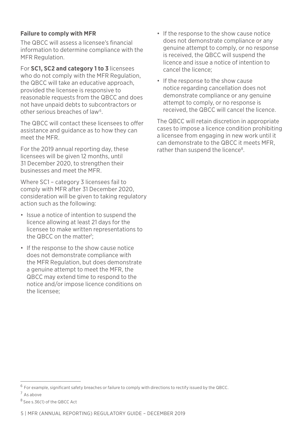## **Failure to comply with MFR**

The QBCC will assess a licensee's financial information to determine compliance with the MFR Regulation.

For **SC1, SC2 and category 1 to 3** licensees who do not comply with the MFR Regulation. the QBCC will take an educative approach, provided the licensee is responsive to reasonable requests from the QBCC and does not have unpaid debts to subcontractors or other serious breaches of law<sup>6</sup>.

The QBCC will contact these licensees to offer assistance and guidance as to how they can meet the MFR.

For the 2019 annual reporting day, these licensees will be given 12 months, until 31 December 2020, to strengthen their businesses and meet the MFR.

Where SC1 – category 3 licensees fail to comply with MFR after 31 December 2020, consideration will be given to taking regulatory action such as the following:

- Issue a notice of intention to suspend the licence allowing at least 21 days for the licensee to make written representations to the QBCC on the matter<sup>7</sup>;
- If the response to the show cause notice does not demonstrate compliance with the MFR Regulation, but does demonstrate a genuine attempt to meet the MFR, the QBCC may extend time to respond to the notice and/or impose licence conditions on the licensee;
- If the response to the show cause notice does not demonstrate compliance or any genuine attempt to comply, or no response is received, the QBCC will suspend the licence and issue a notice of intention to cancel the licence;
- If the response to the show cause notice regarding cancellation does not demonstrate compliance or any genuine attempt to comply, or no response is received, the QBCC will cancel the licence.

The QBCC will retain discretion in appropriate cases to impose a licence condition prohibiting a licensee from engaging in new work until it can demonstrate to the QBCC it meets MFR, rather than suspend the licence<sup>8</sup>.

<sup>6</sup> For example, significant safety breaches or failure to comply with directions to rectify issued by the QBCC.

<sup>7</sup> As above

<sup>8</sup> See s.36(1) of the QBCC Act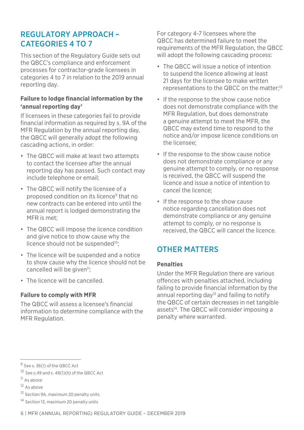## REGULATORY APPROACH -CATEGORIES 4 TO 7

This section of the Regulatory Guide sets out the QBCC's compliance and enforcement processes for contractor-grade licensees in categories 4 to 7 in relation to the 2019 annual reporting day.

#### **Failure to lodge financial information by the 'annual reporting day'**

If licensees in these categories fail to provide financial information as required by s. 9A of the MFR Regulation by the annual reporting day, the QBCC will generally adopt the following cascading actions, in order:

- The QBCC will make at least two attempts to contact the licensee after the annual reporting day has passed. Such contact may include telephone or email;
- The QBCC will notify the licensee of a proposed condition on its licence<sup>9</sup> that no new contracts can be entered into until the annual report is lodged demonstrating the MFR is met;
- The QBCC will impose the licence condition and give notice to show cause why the licence should not be suspended<sup>10</sup>:
- The licence will be suspended and a notice to show cause why the licence should not be cancelled will be given<sup>11</sup>;
- The licence will be cancelled.

#### **Failure to comply with MFR**

The QBCC will assess a licensee's financial information to determine compliance with the MFR Regulation.

For category 4-7 licensees where the QBCC has determined failure to meet the requirements of the MFR Regulation, the QBCC will adopt the following cascading process:

- The QBCC will issue a notice of intention to suspend the licence allowing at least 21 days for the licensee to make written representations to the QBCC on the matter;12
- If the response to the show cause notice does not demonstrate compliance with the MFR Regulation, but does demonstrate a genuine attempt to meet the MFR, the QBCC may extend time to respond to the notice and/or impose licence conditions on the licensee;
- If the response to the show cause notice does not demonstrate compliance or any genuine attempt to comply, or no response is received, the QBCC will suspend the licence and issue a notice of intention to cancel the licence;
- If the response to the show cause notice regarding cancellation does not demonstrate compliance or any genuine attempt to comply, or no response is received, the QBCC will cancel the licence.

# OTHER MATTERS

#### **Penalties**

Under the MFR Regulation there are various offences with penalties attached, including failing to provide financial information by the annual reporting day<sup>13</sup> and failing to notify the QBCC of certain decreases in net tangible assets<sup>14</sup>. The QBCC will consider imposing a penalty where warranted.

<sup>9</sup> See s. 36(1) of the QBCC Act

<sup>10</sup> See s.49 and s. 48(1)(h) of the QBCC Act

<sup>11</sup> As above

<sup>12</sup> As above

<sup>13</sup> Section 9A, maximum 20 penalty units

<sup>14</sup> Section 13, maximum 20 penalty units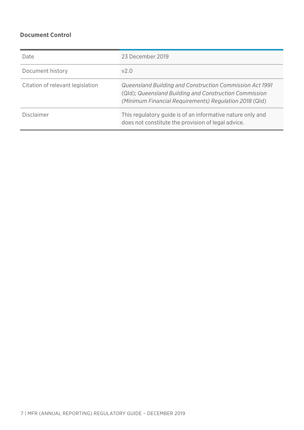## **Document Control**

| Date                             | 23 December 2019                                                                                                                                                             |
|----------------------------------|------------------------------------------------------------------------------------------------------------------------------------------------------------------------------|
| Document history                 | v2.0                                                                                                                                                                         |
| Citation of relevant legislation | Queensland Building and Construction Commission Act 1991<br>(Qld); Queensland Building and Construction Commission<br>(Minimum Financial Requirements) Regulation 2018 (Qld) |
| Disclaimer                       | This regulatory quide is of an informative nature only and<br>does not constitute the provision of legal advice.                                                             |